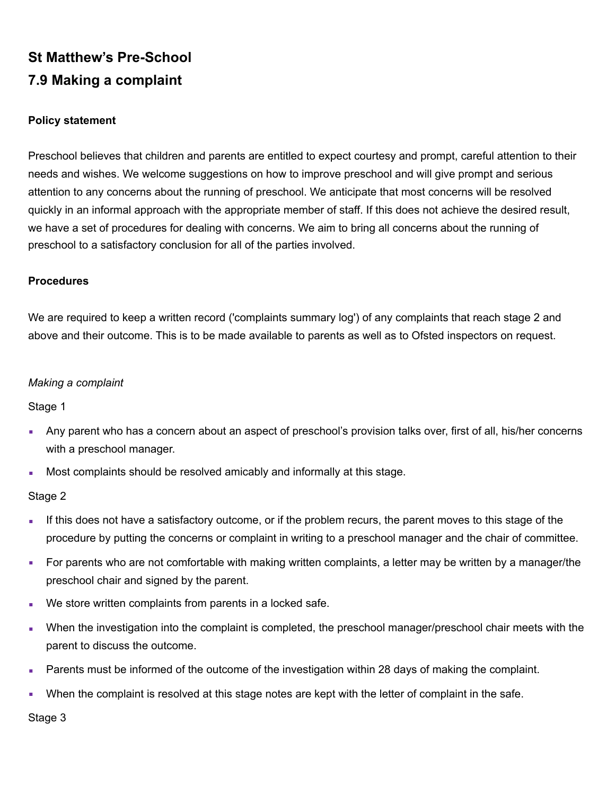# **St Matthew's Pre-School 7.9 Making a complaint**

## **Policy statement**

Preschool believes that children and parents are entitled to expect courtesy and prompt, careful attention to their needs and wishes. We welcome suggestions on how to improve preschool and will give prompt and serious attention to any concerns about the running of preschool. We anticipate that most concerns will be resolved quickly in an informal approach with the appropriate member of staff. If this does not achieve the desired result, we have a set of procedures for dealing with concerns. We aim to bring all concerns about the running of preschool to a satisfactory conclusion for all of the parties involved.

#### **Procedures**

We are required to keep a written record ('complaints summary log') of any complaints that reach stage 2 and above and their outcome. This is to be made available to parents as well as to Ofsted inspectors on request.

#### *Making a complaint*

Stage 1

- Any parent who has a concern about an aspect of preschool's provision talks over, first of all, his/her concerns with a preschool manager.
- **Most complaints should be resolved amicably and informally at this stage.**

#### Stage 2

- **If this does not have a satisfactory outcome, or if the problem recurs, the parent moves to this stage of the** procedure by putting the concerns or complaint in writing to a preschool manager and the chair of committee.
- For parents who are not comfortable with making written complaints, a letter may be written by a manager/the preschool chair and signed by the parent.
- We store written complaints from parents in a locked safe.
- **•** When the investigation into the complaint is completed, the preschool manager/preschool chair meets with the parent to discuss the outcome.
- **EXECT** Parents must be informed of the outcome of the investigation within 28 days of making the complaint.
- **•** When the complaint is resolved at this stage notes are kept with the letter of complaint in the safe.

Stage 3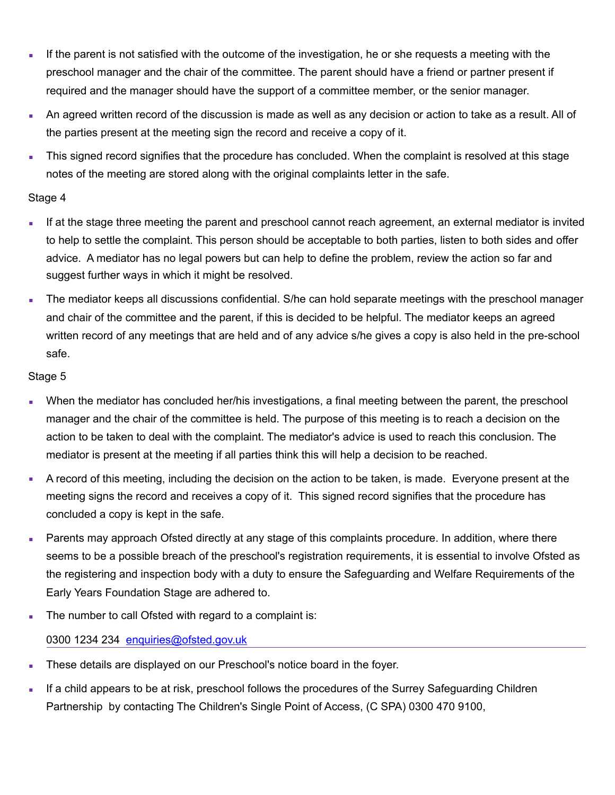- **.** If the parent is not satisfied with the outcome of the investigation, he or she requests a meeting with the preschool manager and the chair of the committee. The parent should have a friend or partner present if required and the manager should have the support of a committee member, or the senior manager.
- An agreed written record of the discussion is made as well as any decision or action to take as a result. All of the parties present at the meeting sign the record and receive a copy of it.
- This signed record signifies that the procedure has concluded. When the complaint is resolved at this stage notes of the meeting are stored along with the original complaints letter in the safe.

## Stage 4

- **.** If at the stage three meeting the parent and preschool cannot reach agreement, an external mediator is invited to help to settle the complaint. This person should be acceptable to both parties, listen to both sides and offer advice. A mediator has no legal powers but can help to define the problem, review the action so far and suggest further ways in which it might be resolved.
- **The mediator keeps all discussions confidential.** S/he can hold separate meetings with the preschool manager and chair of the committee and the parent, if this is decided to be helpful. The mediator keeps an agreed written record of any meetings that are held and of any advice s/he gives a copy is also held in the pre-school safe.

## Stage 5

- When the mediator has concluded her/his investigations, a final meeting between the parent, the preschool manager and the chair of the committee is held. The purpose of this meeting is to reach a decision on the action to be taken to deal with the complaint. The mediator's advice is used to reach this conclusion. The mediator is present at the meeting if all parties think this will help a decision to be reached.
- A record of this meeting, including the decision on the action to be taken, is made. Everyone present at the meeting signs the record and receives a copy of it. This signed record signifies that the procedure has concluded a copy is kept in the safe.
- **EXECT** Parents may approach Ofsted directly at any stage of this complaints procedure. In addition, where there seems to be a possible breach of the preschool's registration requirements, it is essential to involve Ofsted as the registering and inspection body with a duty to ensure the Safeguarding and Welfare Requirements of the Early Years Foundation Stage are adhered to.
- **The number to call Ofsted with regard to a complaint is:**

## 0300 1234 234 enquiries@ofsted.gov.uk

- **These details are displayed on our Preschool's notice board in the foyer.**
- **EXECT** If a child appears to be at risk, preschool follows the procedures of the Surrey Safeguarding Children Partnership by contacting The Children's Single Point of Access, (C SPA) 0300 470 9100,